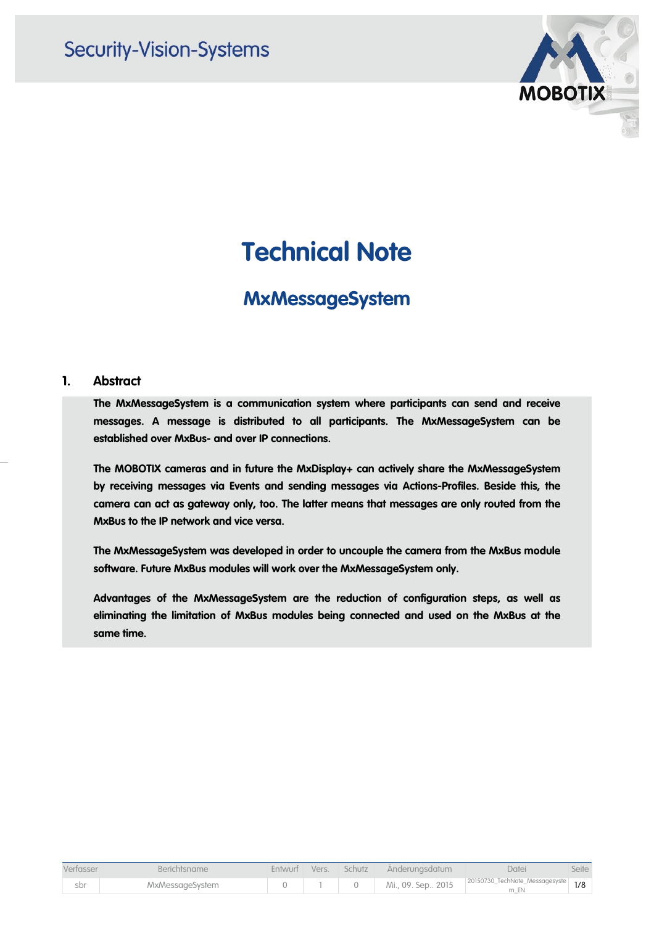

# **Technical Note**

### **MxMessageSystem**

### **1. Abstract**

**The MxMessageSystem is a communication system where participants can send and receive messages. A message is distributed to all participants. The MxMessageSystem can be established over MxBus- and over IP connections.**

**The MOBOTIX cameras and in future the MxDisplay+ can actively share the MxMessageSystem by receiving messages via Events and sending messages via Actions-Profiles. Beside this, the camera can act as gateway only, too. The latter means that messages are only routed from the MxBus to the IP network and vice versa.**

**The MxMessageSystem was developed in order to uncouple the camera from the MxBus module software. Future MxBus modules will work over the MxMessageSystem only.**

**Advantages of the MxMessageSystem are the reduction of configuration steps, as well as eliminating the limitation of MxBus modules being connected and used on the MxBus at the same time.**

| Verfasser | <b>Berichtsname</b> |  | Entwurf Vers. Schutz Änderungsdatum | Datei                                                  | Seite |
|-----------|---------------------|--|-------------------------------------|--------------------------------------------------------|-------|
| sbr       | MxMessageSystem     |  |                                     | Mi., 09. Sep., 2015 20150730_TechNote_Messagesyste 1/8 |       |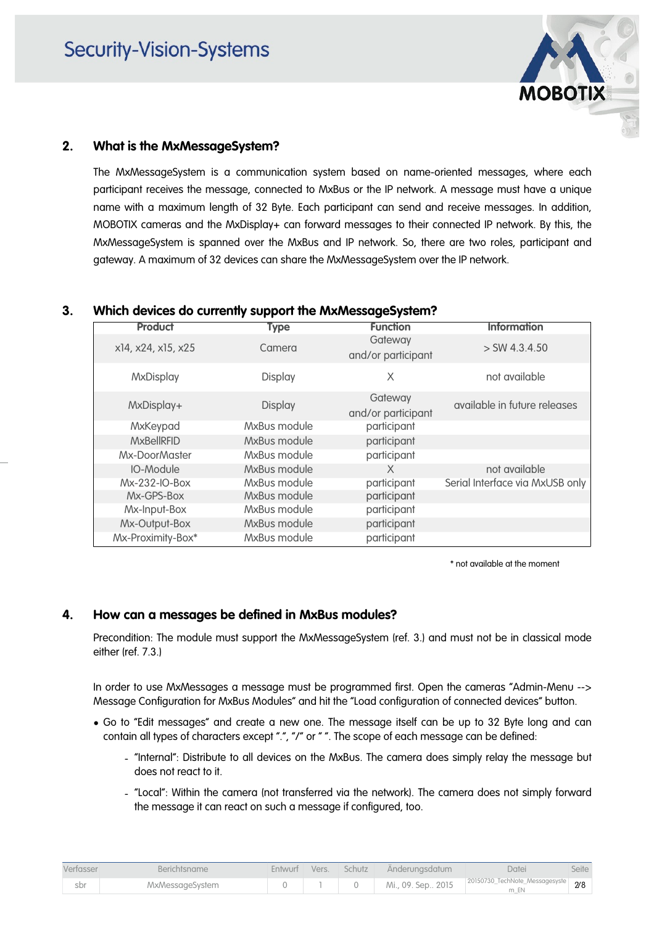

### **2. What is the MxMessageSystem?**

The MxMessageSystem is a communication system based on name-oriented messages, where each participant receives the message, connected to MxBus or the IP network. A message must have a unique name with a maximum length of 32 Byte. Each participant can send and receive messages. In addition, MOBOTIX cameras and the MxDisplay+ can forward messages to their connected IP network. By this, the MxMessageSystem is spanned over the MxBus and IP network. So, there are two roles, participant and gateway. A maximum of 32 devices can share the MxMessageSystem over the IP network.

### **3. Which devices do currently support the MxMessageSystem?**

| <b>Type</b>    | <b>Function</b>               | <b>Information</b>              |
|----------------|-------------------------------|---------------------------------|
| Camera         | Gateway<br>and/or participant | $>$ SW 4.3.4.50                 |
| Display        | Χ                             | not available                   |
| <b>Display</b> | Gateway<br>and/or participant | available in future releases    |
| MxBus module   | participant                   |                                 |
| MxBus module   | participant                   |                                 |
| MxBus module   | participant                   |                                 |
| MxBus module   | X                             | not available                   |
| MxBus module   | participant                   | Serial Interface via MxUSB only |
| MxBus module   | participant                   |                                 |
| MxBus module   | participant                   |                                 |
| MxBus module   | participant                   |                                 |
| MxBus module   | participant                   |                                 |
|                |                               |                                 |

\* not available at the moment

### **4. How can a messages be defined in MxBus modules?**

Precondition: The module must support the MxMessageSystem (ref. 3.) and must not be in classical mode either (ref. 7.3.)

In order to use MxMessages a message must be programmed first. Open the cameras "Admin-Menu --> Message Configuration for MxBus Modules" and hit the "Load configuration of connected devices" button.

- Go to "Edit messages" and create a new one. The message itself can be up to 32 Byte long and can contain all types of characters except ".", "/" or "". The scope of each message can be defined:
	- "Internal": Distribute to all devices on the MxBus. The camera does simply relay the message but does not react to it.
	- "Local": Within the camera (not transferred via the network). The camera does not simply forward the message it can react on such a message if configured, too.

| Verfasser | Berichtsname    |  | Entwurf Vers. Schutz Änderungsdatum | Datei                                                | Seite |
|-----------|-----------------|--|-------------------------------------|------------------------------------------------------|-------|
| sbr       | MxMessageSystem |  |                                     | Mi., 09. Sep 2015 20150730_TechNote_Messagesyste 2/8 |       |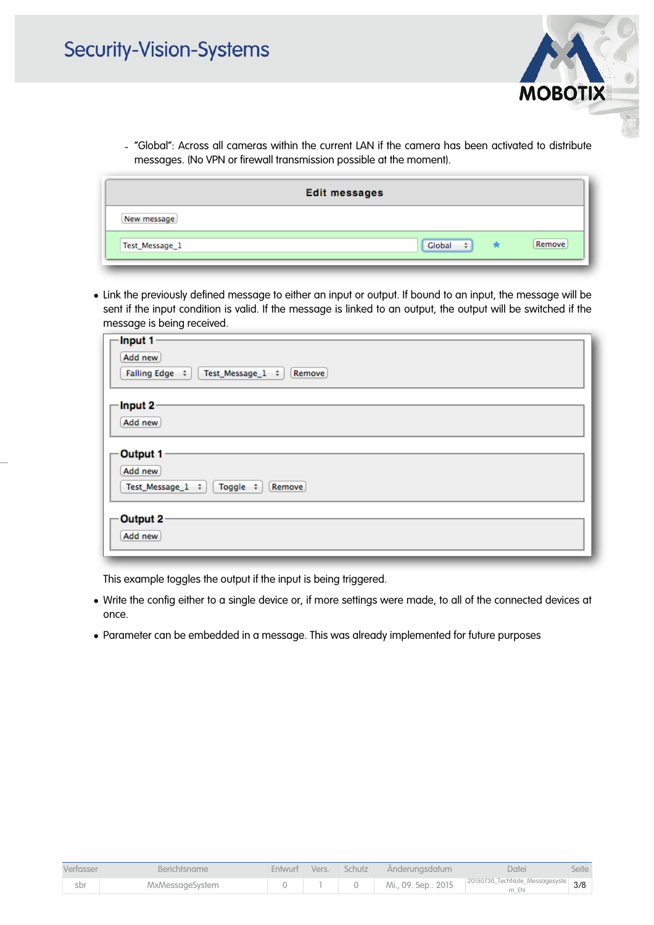- **MOBOTIX**
- "Global": Across all cameras within the current LAN if the camera has been activated to distribute messages. (No VPN or firewall transmission possible at the moment).

| <b>Edit messages</b>                         |
|----------------------------------------------|
| New message                                  |
| Remove<br>Global<br>$\div$<br>Test_Message_1 |

• Link the previously defined message to either an input or output. If bound to an input, the message will be sent if the input condition is valid. If the message is linked to an output, the output will be switched if the message is being received.

| Input 1-                                                |  |
|---------------------------------------------------------|--|
| Add new                                                 |  |
| Falling Edge $\div$   Test_Message_1 $\div$  <br>Remove |  |
| Input 2                                                 |  |
| Add new                                                 |  |
| Output 1                                                |  |
| Add new                                                 |  |
| Test_Message_ $1$ $\div$<br>$Toggle$ $\div$<br>Remove   |  |
| Output 2                                                |  |
| Add new                                                 |  |
|                                                         |  |

This example toggles the output if the input is being triggered.

- Write the config either to a single device or, if more settings were made, to all of the connected devices at once.
- Parameter can be embedded in a message. This was already implemented for future purposes

| Verfasser | <b>Berichtsname</b> |  | Entwurf Vers. Schutz Änderungsdatum | Datei                                                  | Seite |
|-----------|---------------------|--|-------------------------------------|--------------------------------------------------------|-------|
| sbr       | MxMessageSystem     |  |                                     | Mi., 09. Sep., 2015 20150730_TechNote_Messagesyste 3/8 |       |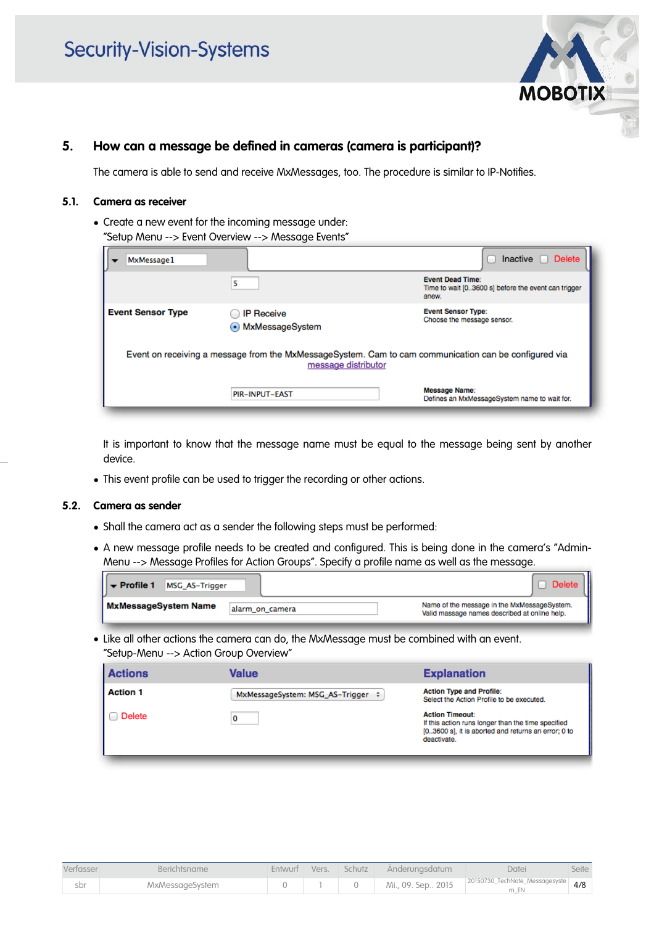

### **5. How can a message be defined in cameras (camera is participant)?**

The camera is able to send and receive MxMessages, too. The procedure is similar to IP-Notifies.

#### **5.1. Camera as receiver**

• Create a new event for the incoming message under: "Setup Menu --> Event Overview --> Message Events"

| MxMessage1                                                                                                                   |                                        | Inactive $\Box$<br>Delete                                                               |  |  |
|------------------------------------------------------------------------------------------------------------------------------|----------------------------------------|-----------------------------------------------------------------------------------------|--|--|
|                                                                                                                              | 5                                      | <b>Event Dead Time:</b><br>Time to wait [03600 s] before the event can trigger<br>anew. |  |  |
| <b>Event Sensor Type</b>                                                                                                     | <b>IP Receive</b><br>• MxMessageSystem | <b>Event Sensor Type:</b><br>Choose the message sensor.                                 |  |  |
| Event on receiving a message from the MxMessageSystem. Cam to cam communication can be configured via<br>message distributor |                                        |                                                                                         |  |  |
|                                                                                                                              | <b>PIR-INPUT-EAST</b>                  | <b>Message Name:</b><br>Defines an MxMessageSystem name to wait for.                    |  |  |

It is important to know that the message name must be equal to the message being sent by another device.

• This event profile can be used to trigger the recording or other actions.

#### **5.2. Camera as sender**

- Shall the camera act as a sender the following steps must be performed:
- A new message profile needs to be created and configured. This is being done in the camera's "Admin-Menu --> Message Profiles for Action Groups". Specify a profile name as well as the message.

| $  \mathbf{v}  $ Profile 1<br><b>MSG AS-Trigger</b> |                 | Delete                                                                                       |
|-----------------------------------------------------|-----------------|----------------------------------------------------------------------------------------------|
| <b>MxMessageSystem Name</b>                         | alarm on camera | Name of the message in the MxMessageSystem.<br>Valid massage names described at online help. |

• Like all other actions the camera can do, the MxMessage must be combined with an event. "Setup-Menu --> Action Group Overview"

| <b>Actions</b>  | Value                                  | <b>Explanation</b>                                                                                                                                 |
|-----------------|----------------------------------------|----------------------------------------------------------------------------------------------------------------------------------------------------|
| <b>Action 1</b> | MxMessageSystem: MSG_AS-Trigger $\div$ | <b>Action Type and Profile:</b><br>Select the Action Profile to be executed.                                                                       |
| Delete          | 0                                      | <b>Action Timeout:</b><br>If this action runs longer than the time specified<br>[03600 s], it is aborted and returns an error; 0 to<br>deactivate. |

| Verfasser | <b>Berichtsname</b> |  | Entwurf Vers. Schutz Änderungsdatum | Datei                                                  | Seite |
|-----------|---------------------|--|-------------------------------------|--------------------------------------------------------|-------|
| sbr       | MxMessageSystem     |  |                                     | Mi., 09. Sep., 2015 20150730_TechNote_Messagesyste 4/8 |       |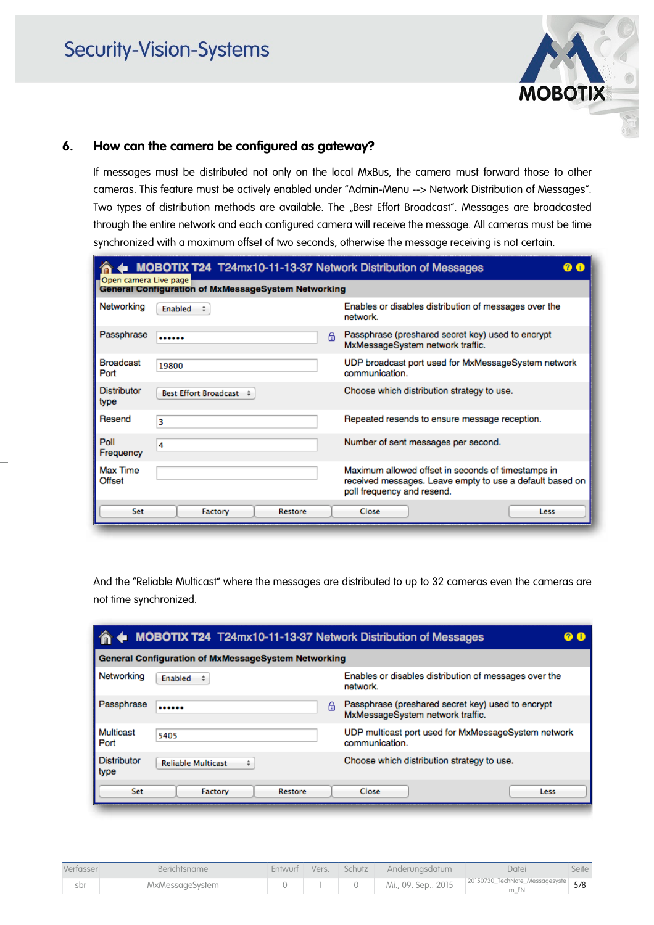

### **6. How can the camera be configured as gateway?**

If messages must be distributed not only on the local MxBus, the camera must forward those to other cameras. This feature must be actively enabled under "Admin-Menu --> Network Distribution of Messages". Two types of distribution methods are available. The "Best Effort Broadcast". Messages are broadcasted through the entire network and each configured camera will receive the message. All cameras must be time synchronized with a maximum offset of two seconds, otherwise the message receiving is not certain.

| Open camera Live page      | MOBOTIX T24 T24mx10-11-13-37 Network Distribution of Messages |   |                                                                                                                                              |
|----------------------------|---------------------------------------------------------------|---|----------------------------------------------------------------------------------------------------------------------------------------------|
|                            | <b>General Configuration of MxMessageSystem Networking</b>    |   |                                                                                                                                              |
| Networking                 | Enabled                                                       |   | Enables or disables distribution of messages over the<br>network.                                                                            |
| Passphrase                 |                                                               | A | Passphrase (preshared secret key) used to encrypt<br>MxMessageSystem network traffic.                                                        |
| <b>Broadcast</b><br>Port   | 19800                                                         |   | UDP broadcast port used for MxMessageSystem network<br>communication.                                                                        |
| <b>Distributor</b><br>type | Best Effort Broadcast $\div$                                  |   | Choose which distribution strategy to use.                                                                                                   |
| Resend                     | 3                                                             |   | Repeated resends to ensure message reception.                                                                                                |
| Poll<br>Frequency          | 4                                                             |   | Number of sent messages per second.                                                                                                          |
| Max Time<br>Offset         |                                                               |   | Maximum allowed offset in seconds of timestamps in<br>received messages. Leave empty to use a default based on<br>poll frequency and resend. |
| Set                        | Factory<br>Restore                                            |   | Close<br>Less                                                                                                                                |

And the "Reliable Multicast" where the messages are distributed to up to 32 cameras even the cameras are not time synchronized.

|                            | MOBOTIX T24 T24mx10-11-13-37 Network Distribution of Messages |                                                                                       |  |  |  |
|----------------------------|---------------------------------------------------------------|---------------------------------------------------------------------------------------|--|--|--|
|                            | <b>General Configuration of MxMessageSystem Networking</b>    |                                                                                       |  |  |  |
| Networking                 | Enabled                                                       | Enables or disables distribution of messages over the<br>network.                     |  |  |  |
| Passphrase                 | A<br>                                                         | Passphrase (preshared secret key) used to encrypt<br>MxMessageSystem network traffic. |  |  |  |
| Multicast<br>Port          | 5405                                                          | UDP multicast port used for MxMessageSystem network<br>communication.                 |  |  |  |
| <b>Distributor</b><br>type | <b>Reliable Multicast</b><br>÷                                | Choose which distribution strategy to use.                                            |  |  |  |
| Set                        | Factory<br>Restore                                            | Close<br>Less                                                                         |  |  |  |

| Verfasser | <b>Berichtsname</b> |  | Entwurf Vers. Schutz Änderungsdatum | Datei                                                  | Seite |
|-----------|---------------------|--|-------------------------------------|--------------------------------------------------------|-------|
| sbr       | MxMessageSystem     |  |                                     | Mi., 09. Sep., 2015 20150730_TechNote_Messagesyste 5/8 |       |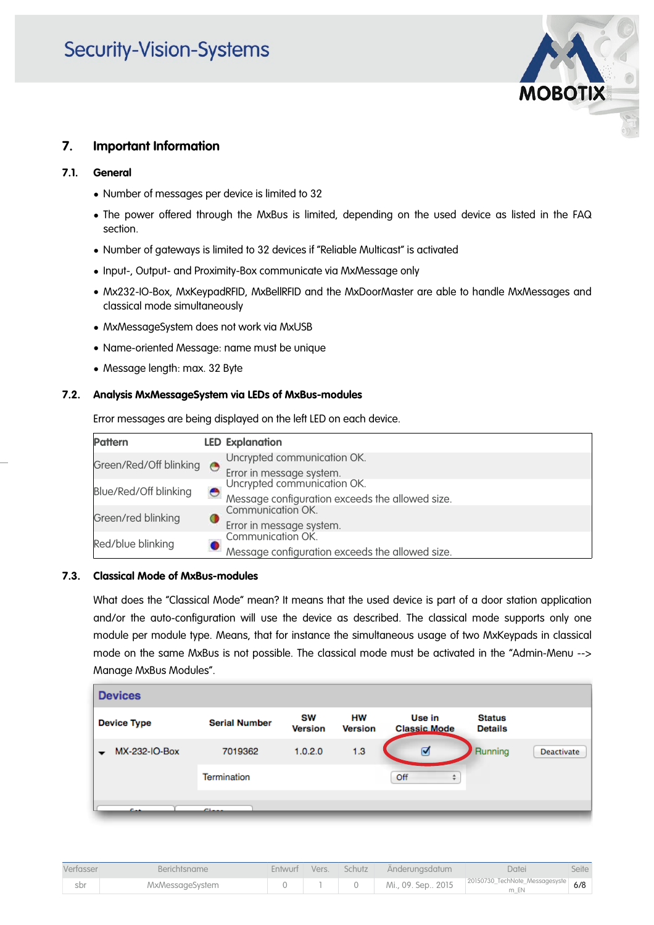## **Security-Vision-Systems**



### **7. Important Information**

#### **7.1. General**

- Number of messages per device is limited to 32
- The power offered through the MxBus is limited, depending on the used device as listed in the FAQ section.
- Number of gateways is limited to 32 devices if "Reliable Multicast" is activated
- Input-, Output- and Proximity-Box communicate via MxMessage only
- Mx232-IO-Box, MxKeypadRFID, MxBellRFID and the MxDoorMaster are able to handle MxMessages and classical mode simultaneously
- MxMessageSystem does not work via MxUSB
- Name-oriented Message: name must be unique
- Message length: max. 32 Byte

### **7.2. Analysis MxMessageSystem via LEDs of MxBus-modules**

Error messages are being displayed on the left LED on each device.

| <b>Pattern</b>         |   | <b>LED Explanation</b>                          |
|------------------------|---|-------------------------------------------------|
| Green/Red/Off blinking | G | Uncrypted communication OK.                     |
|                        |   | Error in message system.                        |
| Blue/Red/Off blinking  |   | Uncrypted communication OK.                     |
|                        | e | Message configuration exceeds the allowed size. |
| Green/red blinking     |   | Communication OK.                               |
|                        | Ο | Error in message system.                        |
| Red/blue blinking      |   | Communication OK.                               |
|                        |   | Message configuration exceeds the allowed size. |

### **7.3. Classical Mode of MxBus-modules**

What does the "Classical Mode" mean? It means that the used device is part of a door station application and/or the auto-configuration will use the device as described. The classical mode supports only one module per module type. Means, that for instance the simultaneous usage of two MxKeypads in classical mode on the same MxBus is not possible. The classical mode must be activated in the "Admin-Menu --> Manage MxBus Modules".

| <b>Devices</b>     |                      |                      |                      |                               |                                 |                   |
|--------------------|----------------------|----------------------|----------------------|-------------------------------|---------------------------------|-------------------|
| <b>Device Type</b> | <b>Serial Number</b> | SW<br><b>Version</b> | нw<br><b>Version</b> | Use in<br><b>Classic Mode</b> | <b>Status</b><br><b>Details</b> |                   |
| MX-232-IO-Box      | 7019362              | 1.0.2.0              | 1.3                  | ☑                             | Running                         | <b>Deactivate</b> |
|                    | Termination          |                      |                      | Off<br>÷                      |                                 |                   |
|                    | $\sim$               |                      |                      |                               |                                 |                   |

| Verfasser | Berichtsname    |  | Entwurf Vers. Schutz Änderungsdatum | Datei                                                | Seite |
|-----------|-----------------|--|-------------------------------------|------------------------------------------------------|-------|
| sbr       | MxMessageSystem |  |                                     | Mi., 09. Sep 2015 20150730_TechNote_Messagesyste 6/8 |       |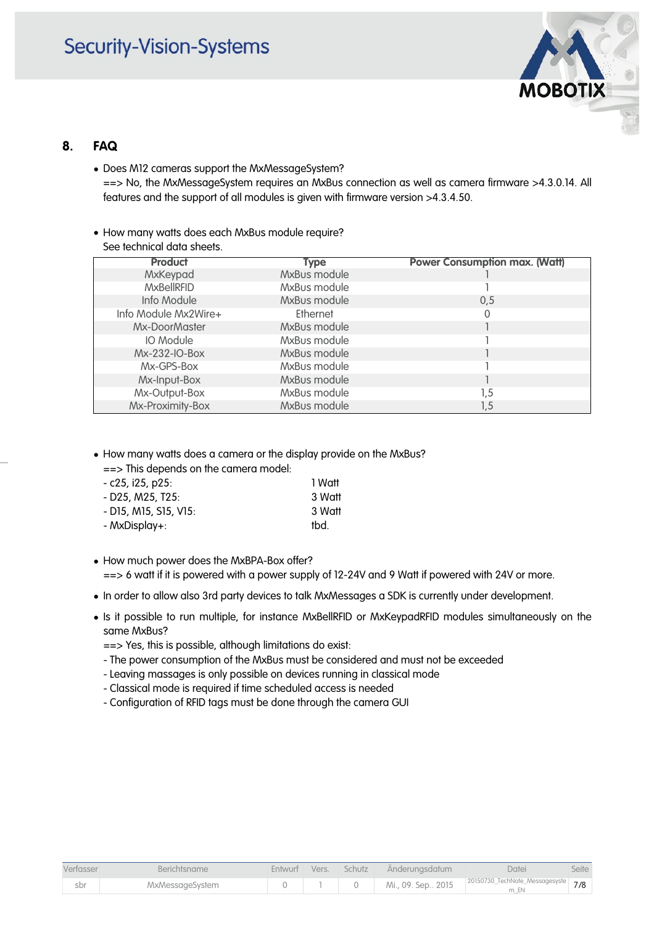### **Security-Vision-Systems**



### **8. FAQ**

- Does M12 cameras support the MxMessageSystem? ==> No, the MxMessageSystem requires an MxBus connection as well as camera firmware >4.3.0.14. All features and the support of all modules is given with firmware version >4.3.4.50.
- How many watts does each MxBus module require? See technical data sheets.

| <b>Product</b>       | Type         | <b>Power Consumption max. (Watt)</b> |
|----------------------|--------------|--------------------------------------|
| MxKeypad             | MxBus module |                                      |
| <b>MxBellRFID</b>    | MxBus module |                                      |
| Info Module          | MxBus module | 0.5                                  |
| Info Module Mx2Wire+ | Ethernet     |                                      |
| Mx-DoorMaster        | MxBus module |                                      |
| IO Module            | MxBus module |                                      |
| Mx-232-IO-Box        | MxBus module |                                      |
| Mx-GPS-Box           | MxBus module |                                      |
| Mx-Input-Box         | MxBus module |                                      |
| Mx-Output-Box        | MxBus module | 1.5                                  |
| Mx-Proximity-Box     | MxBus module | 1,5                                  |

• How many watts does a camera or the display provide on the MxBus?

==> This depends on the camera model:

| - c25, i25, p25:      | 1 Watt |
|-----------------------|--------|
| - D25, M25, T25:      | 3 Watt |
| - D15, M15, S15, V15: | 3 Watt |
| - MxDisplay+:         | tbd.   |

• How much power does the MxBPA-Box offer?

- ==> 6 watt if it is powered with a power supply of 12-24V and 9 Watt if powered with 24V or more.
- In order to allow also 3rd party devices to talk MxMessages a SDK is currently under development.
- Is it possible to run multiple, for instance MxBellRFID or MxKeypadRFID modules simultaneously on the same MxBus?
	- ==> Yes, this is possible, although limitations do exist:
	- The power consumption of the MxBus must be considered and must not be exceeded
	- Leaving massages is only possible on devices running in classical mode
	- Classical mode is required if time scheduled access is needed
	- Configuration of RFID tags must be done through the camera GUI

| Verfasser | Berichtsname           |  | Entwurf Vers. Schutz Änderungsdatum | Datei                                                          | Seite |
|-----------|------------------------|--|-------------------------------------|----------------------------------------------------------------|-------|
| sbr       | <b>MxMessageSystem</b> |  |                                     | Mi., 09. Sep., 2015 20150730_TechNote_Messagesyste 7/8<br>m EN |       |